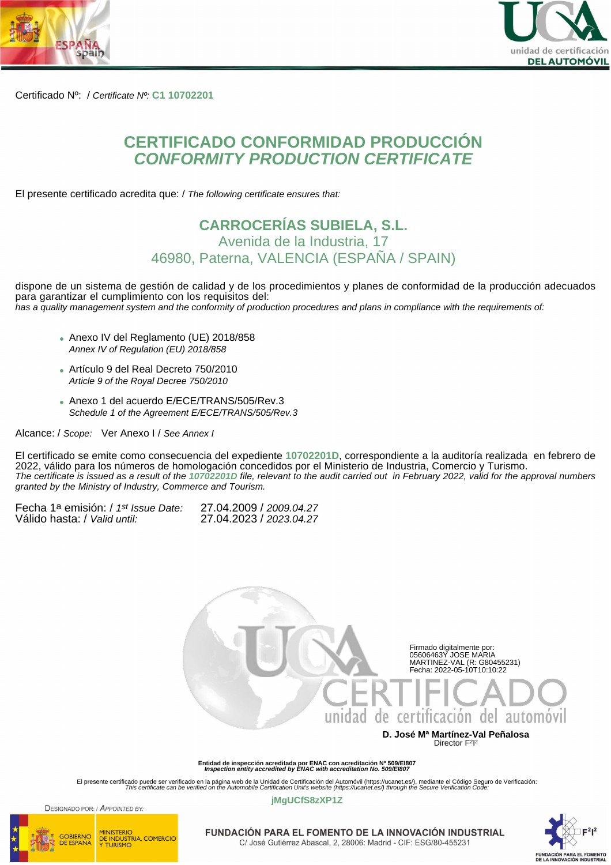



Certificado Nº: / Certificate Nº: **C1 10702201**

# **CERTIFICADO CONFORMIDAD PRODUCCIÓN CONFORMITY PRODUCTION CERTIFICATE**

El presente certificado acredita que: / The following certificate ensures that:

### **CARROCERÍAS SUBIELA, S.L.** Avenida de la Industria, 17 46980, Paterna, VALENCIA (ESPAÑA / SPAIN)

dispone de un sistema de gestión de calidad y de los procedimientos y planes de conformidad de la producción adecuados para garantizar el cumplimiento con los requisitos del: has a quality management system and the conformity of production procedures and plans in compliance with the requirements of:

- Anexo IV del Reglamento (UE) 2018/858 Annex IV of Regulation (EU) 2018/858
- Artículo 9 del Real Decreto 750/2010 Article 9 of the Royal Decree 750/2010
- Anexo 1 del acuerdo E/ECE/TRANS/505/Rev.3 Schedule 1 of the Agreement E/ECE/TRANS/505/Rev.3

Alcance: / Scope: Ver Anexo I / See Annex I

El certificado se emite como consecuencia del expediente **10702201D**, correspondiente a la auditoría realizada en febrero de 2022, válido para los números de homologación concedidos por el Ministerio de Industria, Comercio y Turismo. The certificate is issued as a result of the **10702201D** file, relevant to the audit carried out in February 2022, valid for the approval numbers granted by the Ministry of Industry, Commerce and Tourism.

| Fecha 1ª emisión: / 1 <sup>st</sup> Issue Date: | 27.04.2009 / 2009.04.27 |
|-------------------------------------------------|-------------------------|
| Válido hasta: / Valid until:                    | 27.04.2023 / 2023.04.27 |



**Entidad de inspección acreditada por ENAC con acreditación Nº 509/EI807 Inspection entity accredited by ENAC with accreditation No. 509/EI807**

El presente certificado puede ser verificado en la página web de la Unidad de Certificación del Automóvil (https://ucanet.es/), mediante el Código Seguro de Verificación:<br>This certificate can be verified on the Automobile

**jMgUCfS8zXP1Z**



DESIGNADO POR / APPOINTED BY

**MINISTERIO** 

DE INDUSTRIA, COMERCIO<br>Y TURISMO



FUNDACIÓN PARA EL FOMENTO DE LA INNOVACIÓN INDUSTRIAL C/ José Gutiérrez Abascal, 2, 28006: Madrid - CIF: ESG/80-455231